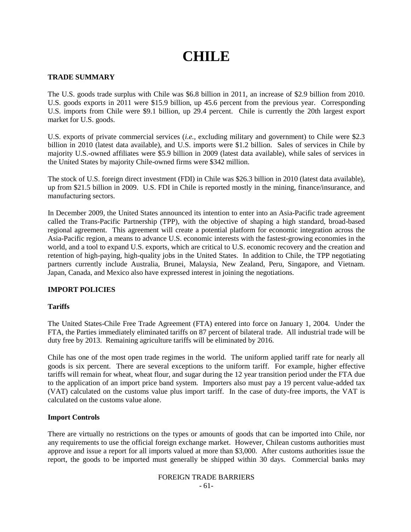# **CHILE**

## **TRADE SUMMARY**

The U.S. goods trade surplus with Chile was \$6.8 billion in 2011, an increase of \$2.9 billion from 2010. U.S. goods exports in 2011 were \$15.9 billion, up 45.6 percent from the previous year. Corresponding U.S. imports from Chile were \$9.1 billion, up 29.4 percent. Chile is currently the 20th largest export market for U.S. goods.

U.S. exports of private commercial services (*i.e.*, excluding military and government) to Chile were \$2.3 billion in 2010 (latest data available), and U.S. imports were \$1.2 billion. Sales of services in Chile by majority U.S.-owned affiliates were \$5.9 billion in 2009 (latest data available), while sales of services in the United States by majority Chile-owned firms were \$342 million.

The stock of U.S. foreign direct investment (FDI) in Chile was \$26.3 billion in 2010 (latest data available), up from \$21.5 billion in 2009. U.S. FDI in Chile is reported mostly in the mining, finance/insurance, and manufacturing sectors.

In December 2009, the United States announced its intention to enter into an Asia-Pacific trade agreement called the Trans-Pacific Partnership (TPP), with the objective of shaping a high standard, broad-based regional agreement. This agreement will create a potential platform for economic integration across the Asia-Pacific region, a means to advance U.S. economic interests with the fastest-growing economies in the world, and a tool to expand U.S. exports, which are critical to U.S. economic recovery and the creation and retention of high-paying, high-quality jobs in the United States. In addition to Chile, the TPP negotiating partners currently include Australia, Brunei, Malaysia, New Zealand, Peru, Singapore, and Vietnam. Japan, Canada, and Mexico also have expressed interest in joining the negotiations.

# **IMPORT POLICIES**

### **Tariffs**

The United States-Chile Free Trade Agreement (FTA) entered into force on January 1, 2004. Under the FTA, the Parties immediately eliminated tariffs on 87 percent of bilateral trade. All industrial trade will be duty free by 2013. Remaining agriculture tariffs will be eliminated by 2016.

Chile has one of the most open trade regimes in the world. The uniform applied tariff rate for nearly all goods is six percent. There are several exceptions to the uniform tariff. For example, higher effective tariffs will remain for wheat, wheat flour, and sugar during the 12 year transition period under the FTA due to the application of an import price band system. Importers also must pay a 19 percent value-added tax (VAT) calculated on the customs value plus import tariff. In the case of duty-free imports, the VAT is calculated on the customs value alone.

### **Import Controls**

There are virtually no restrictions on the types or amounts of goods that can be imported into Chile, nor any requirements to use the official foreign exchange market. However, Chilean customs authorities must approve and issue a report for all imports valued at more than \$3,000. After customs authorities issue the report, the goods to be imported must generally be shipped within 30 days. Commercial banks may

# FOREIGN TRADE BARRIERS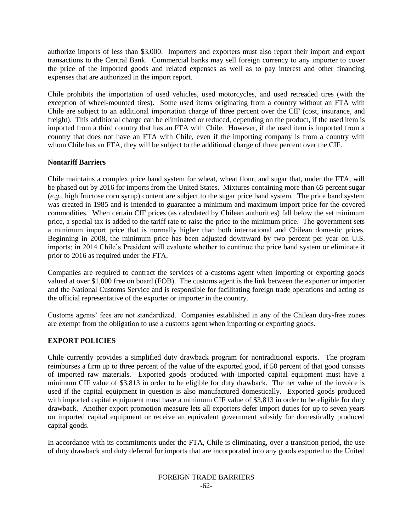authorize imports of less than \$3,000. Importers and exporters must also report their import and export transactions to the Central Bank. Commercial banks may sell foreign currency to any importer to cover the price of the imported goods and related expenses as well as to pay interest and other financing expenses that are authorized in the import report.

Chile prohibits the importation of used vehicles, used motorcycles, and used retreaded tires (with the exception of wheel-mounted tires). Some used items originating from a country without an FTA with Chile are subject to an additional importation charge of three percent over the CIF (cost, insurance, and freight). This additional charge can be eliminated or reduced, depending on the product, if the used item is imported from a third country that has an FTA with Chile. However, if the used item is imported from a country that does not have an FTA with Chile, even if the importing company is from a country with whom Chile has an FTA, they will be subject to the additional charge of three percent over the CIF.

## **Nontariff Barriers**

Chile maintains a complex price band system for wheat, wheat flour, and sugar that, under the FTA, will be phased out by 2016 for imports from the United States. Mixtures containing more than 65 percent sugar (*e.g.*, high fructose corn syrup) content are subject to the sugar price band system. The price band system was created in 1985 and is intended to guarantee a minimum and maximum import price for the covered commodities. When certain CIF prices (as calculated by Chilean authorities) fall below the set minimum price, a special tax is added to the tariff rate to raise the price to the minimum price. The government sets a minimum import price that is normally higher than both international and Chilean domestic prices. Beginning in 2008, the minimum price has been adjusted downward by two percent per year on U.S. imports; in 2014 Chile's President will evaluate whether to continue the price band system or eliminate it prior to 2016 as required under the FTA.

Companies are required to contract the services of a customs agent when importing or exporting goods valued at over \$1,000 free on board (FOB). The customs agent is the link between the exporter or importer and the National Customs Service and is responsible for facilitating foreign trade operations and acting as the official representative of the exporter or importer in the country.

Customs agents" fees are not standardized. Companies established in any of the Chilean duty-free zones are exempt from the obligation to use a customs agent when importing or exporting goods.

# **EXPORT POLICIES**

Chile currently provides a simplified duty drawback program for nontraditional exports. The program reimburses a firm up to three percent of the value of the exported good, if 50 percent of that good consists of imported raw materials. Exported goods produced with imported capital equipment must have a minimum CIF value of \$3,813 in order to be eligible for duty drawback. The net value of the invoice is used if the capital equipment in question is also manufactured domestically. Exported goods produced with imported capital equipment must have a minimum CIF value of \$3,813 in order to be eligible for duty drawback. Another export promotion measure lets all exporters defer import duties for up to seven years on imported capital equipment or receive an equivalent government subsidy for domestically produced capital goods.

In accordance with its commitments under the FTA, Chile is eliminating, over a transition period, the use of duty drawback and duty deferral for imports that are incorporated into any goods exported to the United